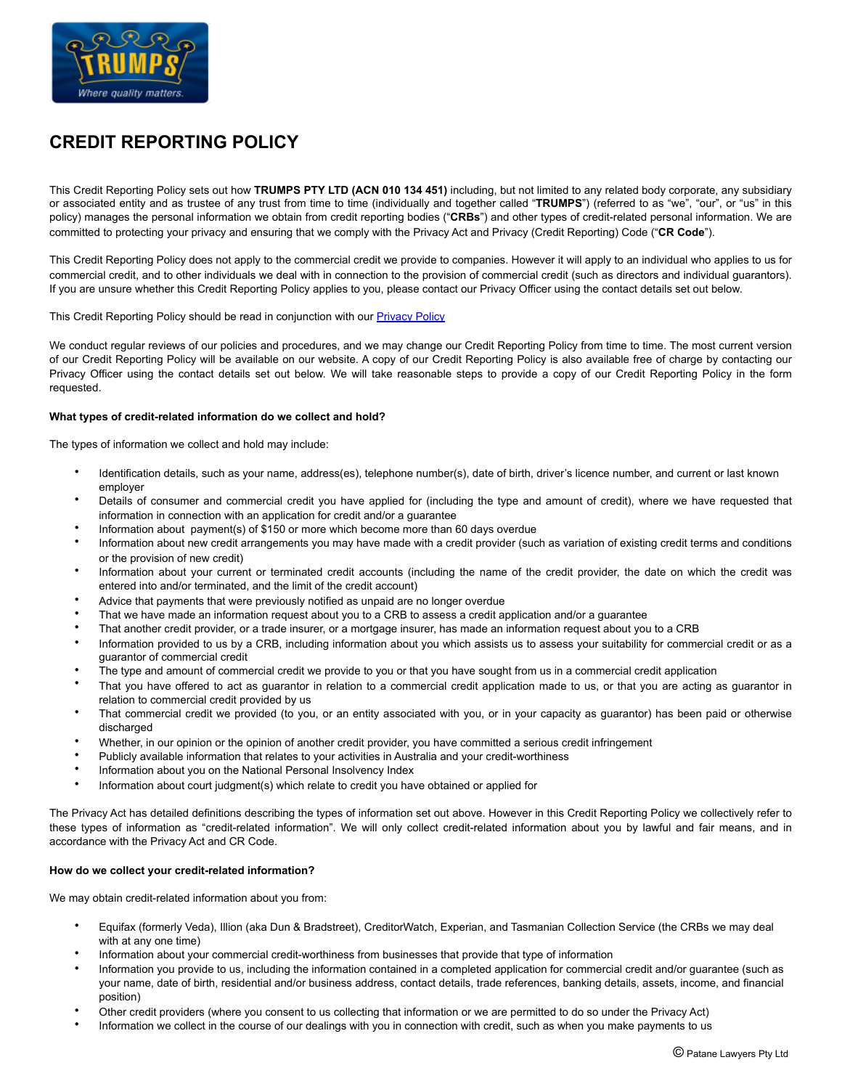

# **CREDIT REPORTING POLICY**

This Credit Reporting Policy sets out how **TRUMPS PTY LTD (ACN 010 134 451)** including, but not limited to any related body corporate, any subsidiary or associated entity and as trustee of any trust from time to time (individually and together called "**TRUMPS**") (referred to as "we", "our", or "us" in this policy) manages the personal information we obtain from credit reporting bodies ("**CRBs**") and other types of credit-related personal information. We are committed to protecting your privacy and ensuring that we comply with the Privacy Act and Privacy (Credit Reporting) Code ("**CR Code**").

This Credit Reporting Policy does not apply to the commercial credit we provide to companies. However it will apply to an individual who applies to us for commercial credit, and to other individuals we deal with in connection to the provision of commercial credit (such as directors and individual guarantors). If you are unsure whether this Credit Reporting Policy applies to you, please contact our Privacy Officer using the contact details set out below.

This Credit Reporting Policy should be read in conjunction with our **[Privacy Policy](https://www.trumps.com.au/policies/#privacy-policy)** 

We conduct regular reviews of our policies and procedures, and we may change our Credit Reporting Policy from time to time. The most current version of our Credit Reporting Policy will be available on our website. A copy of our Credit Reporting Policy is also available free of charge by contacting our Privacy Officer using the contact details set out below. We will take reasonable steps to provide a copy of our Credit Reporting Policy in the form requested.

## **What types of credit-related information do we collect and hold?**

The types of information we collect and hold may include:

- Identification details, such as your name, address(es), telephone number(s), date of birth, driver's licence number, and current or last known employer
- Details of consumer and commercial credit you have applied for (including the type and amount of credit), where we have requested that information in connection with an application for credit and/or a guarantee
- Information about payment(s) of \$150 or more which become more than 60 days overdue
- Information about new credit arrangements you may have made with a credit provider (such as variation of existing credit terms and conditions or the provision of new credit)
- Information about your current or terminated credit accounts (including the name of the credit provider, the date on which the credit was entered into and/or terminated, and the limit of the credit account)
- Advice that payments that were previously notified as unpaid are no longer overdue
- That we have made an information request about you to a CRB to assess a credit application and/or a guarantee
- That another credit provider, or a trade insurer, or a mortgage insurer, has made an information request about you to a CRB
- Information provided to us by a CRB, including information about you which assists us to assess your suitability for commercial credit or as a guarantor of commercial credit
- The type and amount of commercial credit we provide to you or that you have sought from us in a commercial credit application
- That you have offered to act as guarantor in relation to a commercial credit application made to us, or that you are acting as guarantor in relation to commercial credit provided by us
- That commercial credit we provided (to you, or an entity associated with you, or in your capacity as guarantor) has been paid or otherwise discharged
- Whether, in our opinion or the opinion of another credit provider, you have committed a serious credit infringement
- Publicly available information that relates to your activities in Australia and your credit-worthiness
- Information about you on the National Personal Insolvency Index
- Information about court judgment(s) which relate to credit you have obtained or applied for

The Privacy Act has detailed definitions describing the types of information set out above. However in this Credit Reporting Policy we collectively refer to these types of information as "credit-related information". We will only collect credit-related information about you by lawful and fair means, and in accordance with the Privacy Act and CR Code.

#### **How do we collect your credit-related information?**

We may obtain credit-related information about you from:

- Equifax (formerly Veda), Illion (aka Dun & Bradstreet), CreditorWatch, Experian, and Tasmanian Collection Service (the CRBs we may deal with at any one time)
- Information about your commercial credit-worthiness from businesses that provide that type of information
- Information you provide to us, including the information contained in a completed application for commercial credit and/or guarantee (such as your name, date of birth, residential and/or business address, contact details, trade references, banking details, assets, income, and financial position)
- Other credit providers (where you consent to us collecting that information or we are permitted to do so under the Privacy Act)
- Information we collect in the course of our dealings with you in connection with credit, such as when you make payments to us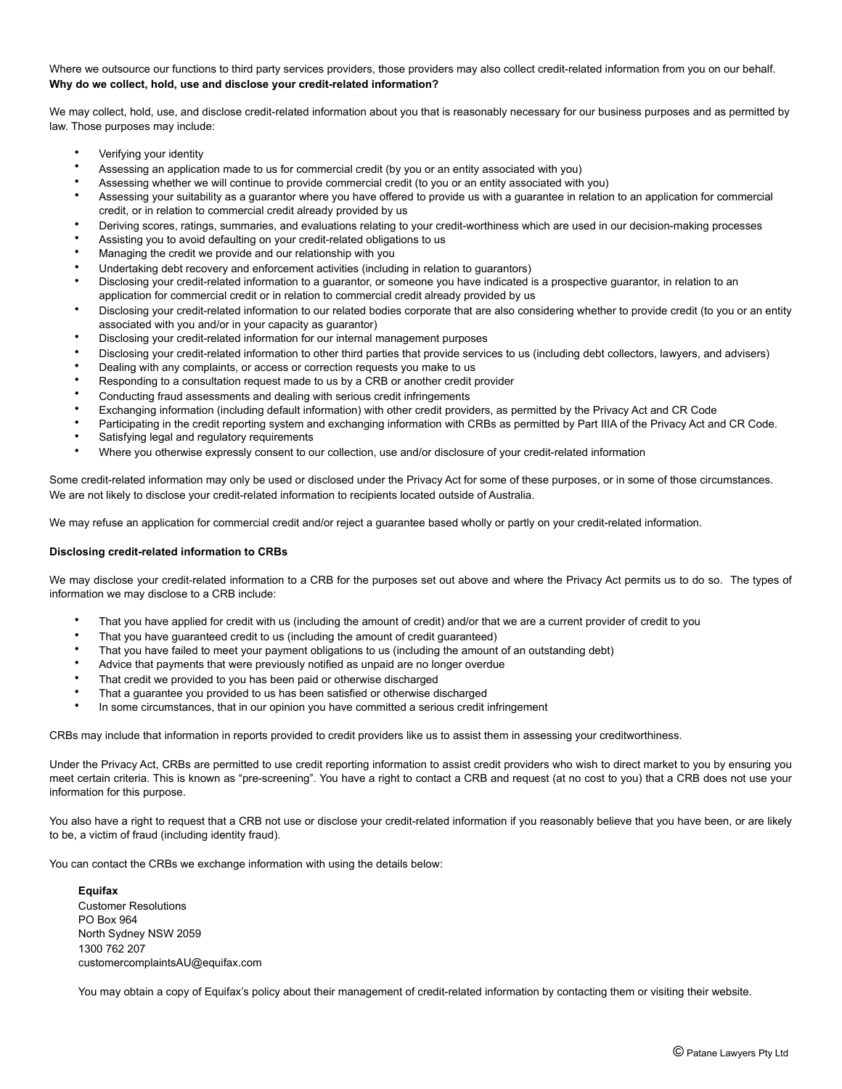# Where we outsource our functions to third party services providers, those providers may also collect credit-related information from you on our behalf. **Why do we collect, hold, use and disclose your credit-related information?**

We may collect, hold, use, and disclose credit-related information about you that is reasonably necessary for our business purposes and as permitted by law. Those purposes may include:

- Verifying your identity
- Assessing an application made to us for commercial credit (by you or an entity associated with you)
- Assessing whether we will continue to provide commercial credit (to you or an entity associated with you)
- Assessing your suitability as a guarantor where you have offered to provide us with a guarantee in relation to an application for commercial credit, or in relation to commercial credit already provided by us
- Deriving scores, ratings, summaries, and evaluations relating to your credit-worthiness which are used in our decision-making processes
- Assisting you to avoid defaulting on your credit-related obligations to us
- Managing the credit we provide and our relationship with you
- Undertaking debt recovery and enforcement activities (including in relation to guarantors)
- Disclosing your credit-related information to a guarantor, or someone you have indicated is a prospective guarantor, in relation to an application for commercial credit or in relation to commercial credit already provided by us
- Disclosing your credit-related information to our related bodies corporate that are also considering whether to provide credit (to you or an entity associated with you and/or in your capacity as guarantor)
- Disclosing your credit-related information for our internal management purposes
- Disclosing your credit-related information to other third parties that provide services to us (including debt collectors, lawyers, and advisers)
- Dealing with any complaints, or access or correction requests you make to us
- Responding to a consultation request made to us by a CRB or another credit provider
- Conducting fraud assessments and dealing with serious credit infringements
- Exchanging information (including default information) with other credit providers, as permitted by the Privacy Act and CR Code
- Participating in the credit reporting system and exchanging information with CRBs as permitted by Part IIIA of the Privacy Act and CR Code.
- Satisfying legal and regulatory requirements
- Where you otherwise expressly consent to our collection, use and/or disclosure of your credit-related information

Some credit-related information may only be used or disclosed under the Privacy Act for some of these purposes, or in some of those circumstances. We are not likely to disclose your credit-related information to recipients located outside of Australia.

We may refuse an application for commercial credit and/or reject a guarantee based wholly or partly on your credit-related information.

## **Disclosing credit-related information to CRBs**

We may disclose your credit-related information to a CRB for the purposes set out above and where the Privacy Act permits us to do so. The types of information we may disclose to a CRB include:

- That you have applied for credit with us (including the amount of credit) and/or that we are a current provider of credit to you
- That you have guaranteed credit to us (including the amount of credit guaranteed)
- That you have failed to meet your payment obligations to us (including the amount of an outstanding debt)
- Advice that payments that were previously notified as unpaid are no longer overdue
- That credit we provided to you has been paid or otherwise discharged
- That a guarantee you provided to us has been satisfied or otherwise discharged
- In some circumstances, that in our opinion you have committed a serious credit infringement

CRBs may include that information in reports provided to credit providers like us to assist them in assessing your creditworthiness.

Under the Privacy Act, CRBs are permitted to use credit reporting information to assist credit providers who wish to direct market to you by ensuring you meet certain criteria. This is known as "pre-screening". You have a right to contact a CRB and request (at no cost to you) that a CRB does not use your information for this purpose.

You also have a right to request that a CRB not use or disclose your credit-related information if you reasonably believe that you have been, or are likely to be, a victim of fraud (including identity fraud).

You can contact the CRBs we exchange information with using the details below:

**Equifax**  Customer Resolutions PO Box 964 North Sydney NSW 2059 1300 762 207 customercomplaintsAU@equifax.com

You may obtain a copy of Equifax's policy about their management of credit-related information by contacting them or visiting their website.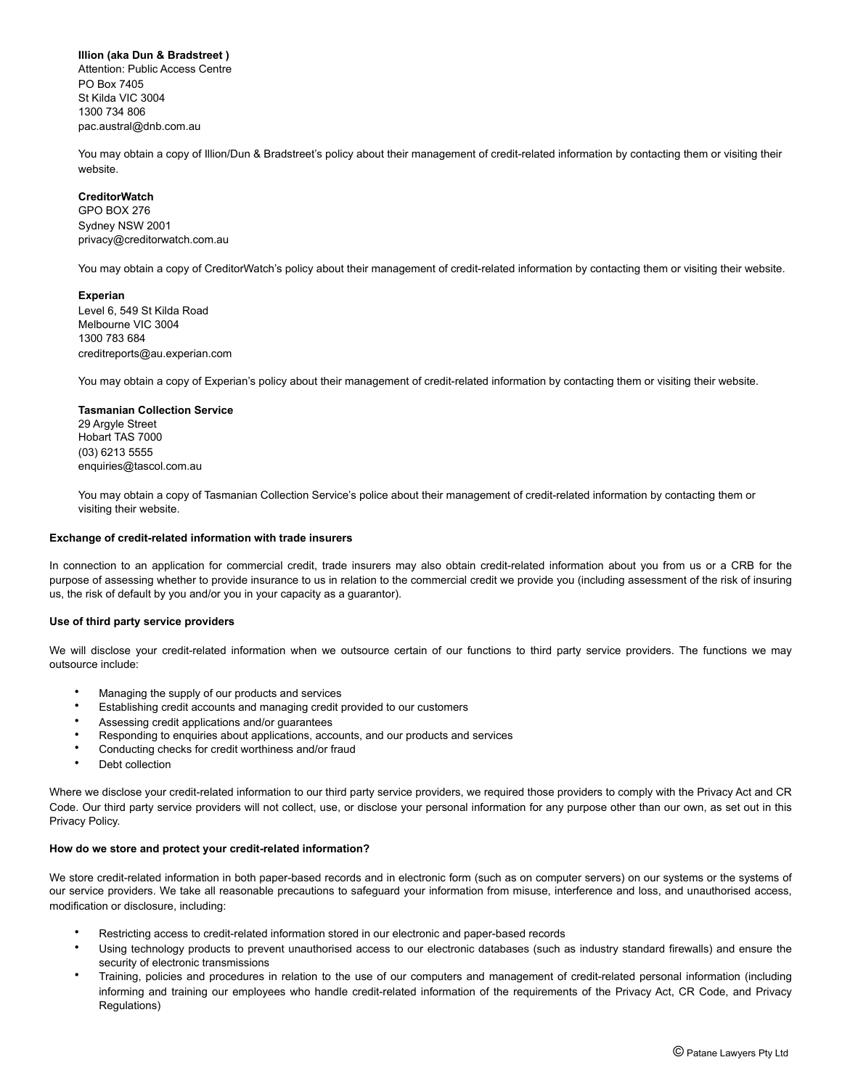# **Illion (aka Dun & Bradstreet )**

Attention: Public Access Centre PO Box 7405 St Kilda VIC 3004 1300 734 806 [pac.austral@dnb.com.au](mailto:pac.austral@dnb.com.au)

You may obtain a copy of Illion/Dun & Bradstreet's policy about their management of credit-related information by contacting them or visiting their website.

# **CreditorWatch**

GPO BOX 276 Sydney NSW 2001 [privacy@creditorwatch.com.au](mailto:privacy@creditorwatch.com.au) 

You may obtain a copy of CreditorWatch's policy about their management of credit-related information by contacting them or visiting their website.

## **Experian**

Level 6, 549 St Kilda Road Melbourne VIC 3004 1300 783 684 [creditreports@au.experian.com](mailto:creditreports@au.experian.com) 

You may obtain a copy of Experian's policy about their management of credit-related information by contacting them or visiting their website.

### **Tasmanian Collection Service**

29 Argyle Street Hobart TAS 7000 (03) 6213 5555 [enquiries@tascol.com.au](mailto:enquiries@tascol.com.au) 

You may obtain a copy of Tasmanian Collection Service's police about their management of credit-related information by contacting them or visiting their website.

## **Exchange of credit-related information with trade insurers**

In connection to an application for commercial credit, trade insurers may also obtain credit-related information about you from us or a CRB for the purpose of assessing whether to provide insurance to us in relation to the commercial credit we provide you (including assessment of the risk of insuring us, the risk of default by you and/or you in your capacity as a guarantor).

#### **Use of third party service providers**

We will disclose your credit-related information when we outsource certain of our functions to third party service providers. The functions we may outsource include:

- Managing the supply of our products and services
- Establishing credit accounts and managing credit provided to our customers
- Assessing credit applications and/or guarantees
- Responding to enquiries about applications, accounts, and our products and services
- Conducting checks for credit worthiness and/or fraud
- Debt collection

Where we disclose your credit-related information to our third party service providers, we required those providers to comply with the Privacy Act and CR Code. Our third party service providers will not collect, use, or disclose your personal information for any purpose other than our own, as set out in this Privacy Policy.

## **How do we store and protect your credit-related information?**

We store credit-related information in both paper-based records and in electronic form (such as on computer servers) on our systems or the systems of our service providers. We take all reasonable precautions to safeguard your information from misuse, interference and loss, and unauthorised access, modification or disclosure, including:

- Restricting access to credit-related information stored in our electronic and paper-based records
- Using technology products to prevent unauthorised access to our electronic databases (such as industry standard firewalls) and ensure the security of electronic transmissions
- Training, policies and procedures in relation to the use of our computers and management of credit-related personal information (including informing and training our employees who handle credit-related information of the requirements of the Privacy Act, CR Code, and Privacy Regulations)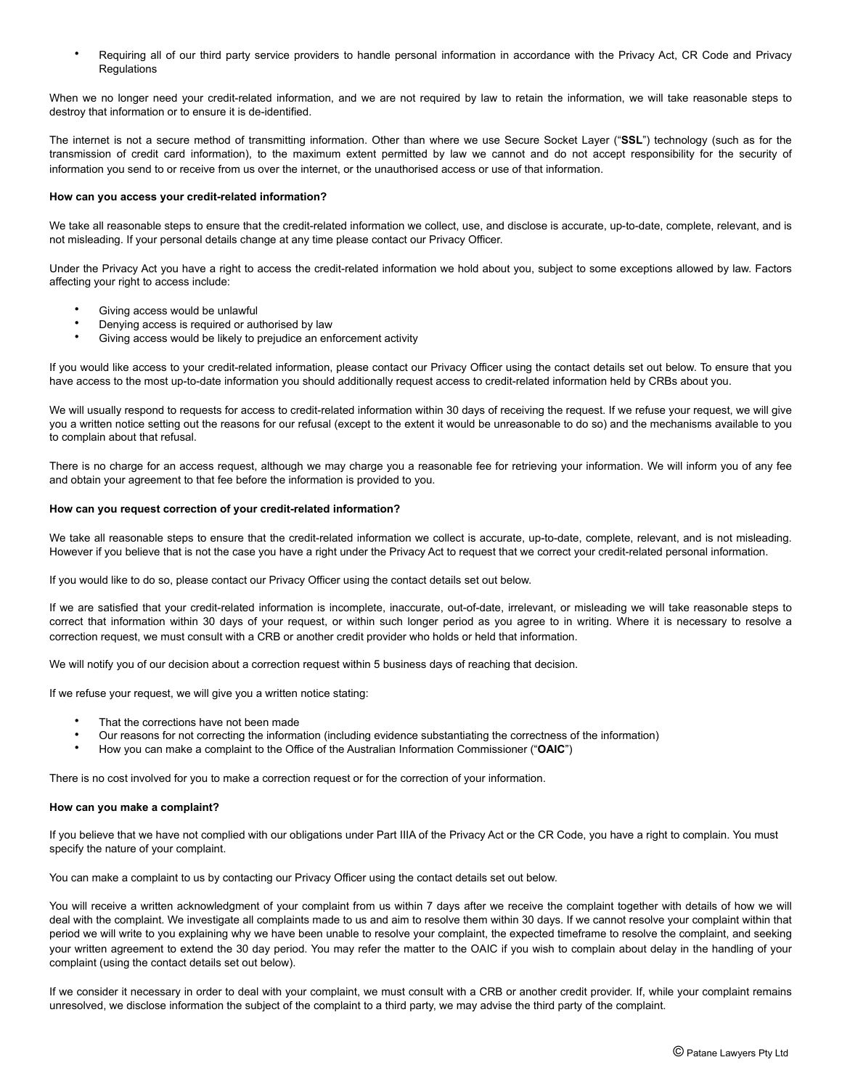• Requiring all of our third party service providers to handle personal information in accordance with the Privacy Act, CR Code and Privacy **Regulations** 

When we no longer need your credit-related information, and we are not required by law to retain the information, we will take reasonable steps to destroy that information or to ensure it is de-identified.

The internet is not a secure method of transmitting information. Other than where we use Secure Socket Layer ("**SSL**") technology (such as for the transmission of credit card information), to the maximum extent permitted by law we cannot and do not accept responsibility for the security of information you send to or receive from us over the internet, or the unauthorised access or use of that information.

## **How can you access your credit-related information?**

We take all reasonable steps to ensure that the credit-related information we collect, use, and disclose is accurate, up-to-date, complete, relevant, and is not misleading. If your personal details change at any time please contact our Privacy Officer.

Under the Privacy Act you have a right to access the credit-related information we hold about you, subject to some exceptions allowed by law. Factors affecting your right to access include:

- Giving access would be unlawful
- Denying access is required or authorised by law
- Giving access would be likely to prejudice an enforcement activity

If you would like access to your credit-related information, please contact our Privacy Officer using the contact details set out below. To ensure that you have access to the most up-to-date information you should additionally request access to credit-related information held by CRBs about you.

We will usually respond to requests for access to credit-related information within 30 days of receiving the request. If we refuse your request, we will give you a written notice setting out the reasons for our refusal (except to the extent it would be unreasonable to do so) and the mechanisms available to you to complain about that refusal.

There is no charge for an access request, although we may charge you a reasonable fee for retrieving your information. We will inform you of any fee and obtain your agreement to that fee before the information is provided to you.

#### **How can you request correction of your credit-related information?**

We take all reasonable steps to ensure that the credit-related information we collect is accurate, up-to-date, complete, relevant, and is not misleading. However if you believe that is not the case you have a right under the Privacy Act to request that we correct your credit-related personal information.

If you would like to do so, please contact our Privacy Officer using the contact details set out below.

If we are satisfied that your credit-related information is incomplete, inaccurate, out-of-date, irrelevant, or misleading we will take reasonable steps to correct that information within 30 days of your request, or within such longer period as you agree to in writing. Where it is necessary to resolve a correction request, we must consult with a CRB or another credit provider who holds or held that information.

We will notify you of our decision about a correction request within 5 business days of reaching that decision.

If we refuse your request, we will give you a written notice stating:

- That the corrections have not been made
- Our reasons for not correcting the information (including evidence substantiating the correctness of the information)
- How you can make a complaint to the Office of the Australian Information Commissioner ("**OAIC**")

There is no cost involved for you to make a correction request or for the correction of your information.

#### **How can you make a complaint?**

If you believe that we have not complied with our obligations under Part IIIA of the Privacy Act or the CR Code, you have a right to complain. You must specify the nature of your complaint.

You can make a complaint to us by contacting our Privacy Officer using the contact details set out below.

You will receive a written acknowledgment of your complaint from us within 7 days after we receive the complaint together with details of how we will deal with the complaint. We investigate all complaints made to us and aim to resolve them within 30 days. If we cannot resolve your complaint within that period we will write to you explaining why we have been unable to resolve your complaint, the expected timeframe to resolve the complaint, and seeking your written agreement to extend the 30 day period. You may refer the matter to the OAIC if you wish to complain about delay in the handling of your complaint (using the contact details set out below).

If we consider it necessary in order to deal with your complaint, we must consult with a CRB or another credit provider. If, while your complaint remains unresolved, we disclose information the subject of the complaint to a third party, we may advise the third party of the complaint.